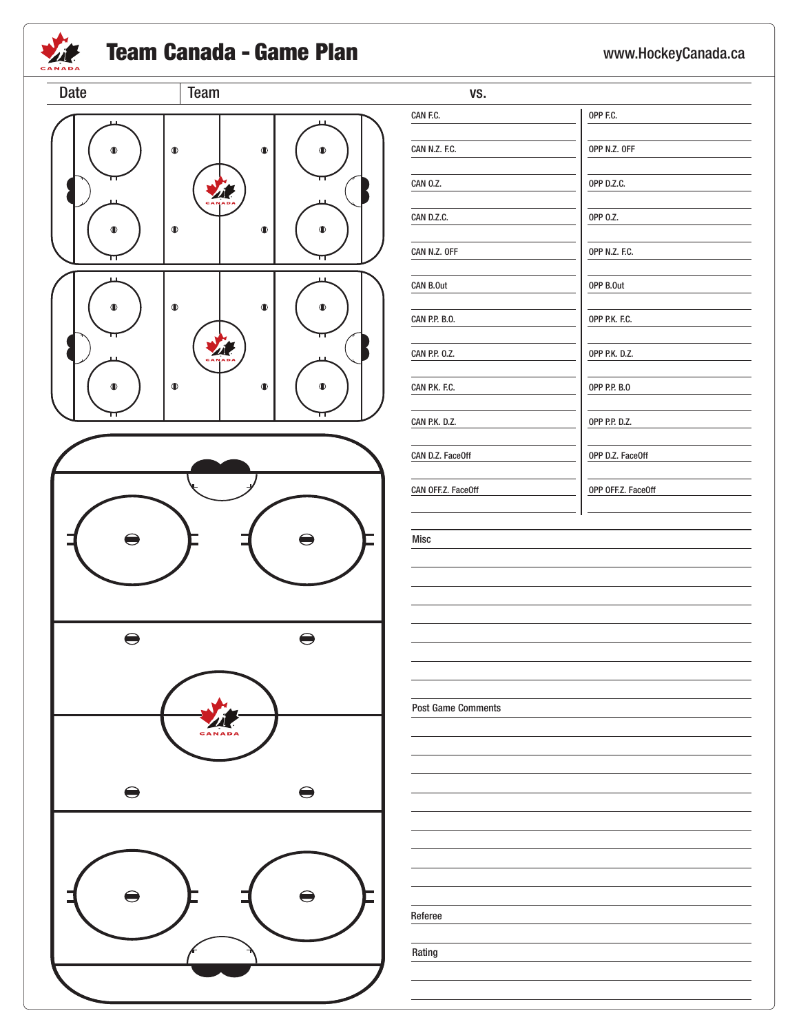

## **Team Canada - Game Plan** www.HockeyCanada.ca